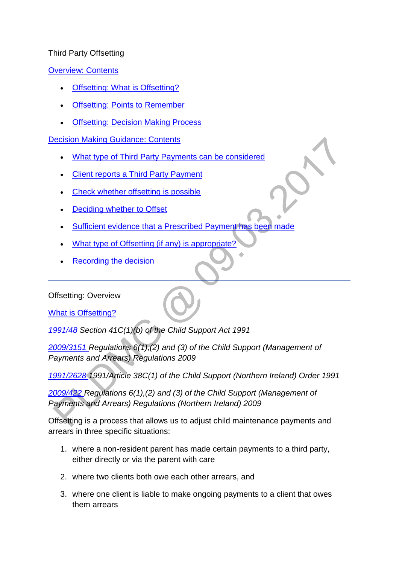#### Third Party Offsetting

[Overview: Contents](http://np-cmg-sharepoint.link2.gpn.gov.uk/sites/policy-law-and-decision-making-guidance/Pages/Offsetting/Offsetting---Third-party-payments.aspx)

- [Offsetting: What is Offsetting?](http://np-cmg-sharepoint.link2.gpn.gov.uk/sites/policy-law-and-decision-making-guidance/Pages/Offsetting/Offsetting---Third-party-payments.aspx#whatisoffsetting)
- **[Offsetting: Points to Remember](http://np-cmg-sharepoint.link2.gpn.gov.uk/sites/policy-law-and-decision-making-guidance/Pages/Offsetting/Offsetting---Third-party-payments.aspx#pointstoremember)**
- [Offsetting: Decision Making Process](http://np-cmg-sharepoint.link2.gpn.gov.uk/sites/policy-law-and-decision-making-guidance/Pages/Offsetting/Offsetting---Third-party-payments.aspx#decisionmakingprocess)

## [Decision Making Guidance: Contents](http://np-cmg-sharepoint.link2.gpn.gov.uk/sites/policy-law-and-decision-making-guidance/Pages/Offsetting/Offsetting---Third-party-payments.aspx)

- [What type of Third Party Payments can be considered](http://np-cmg-sharepoint.link2.gpn.gov.uk/sites/policy-law-and-decision-making-guidance/Pages/Offsetting/Offsetting---Third-party-payments.aspx#WebPartTitleWPQ2)
- [Client reports a Third Party Payment](http://np-cmg-sharepoint.link2.gpn.gov.uk/sites/policy-law-and-decision-making-guidance/Pages/Offsetting/Offsetting---Third-party-payments.aspx#WebPartTitleWPQ3)
- [Check whether offsetting is possible](http://np-cmg-sharepoint.link2.gpn.gov.uk/sites/policy-law-and-decision-making-guidance/Pages/Offsetting/Offsetting---Third-party-payments.aspx#WebPartTitleWPQ4)
- [Deciding whether to Offset](http://np-cmg-sharepoint.link2.gpn.gov.uk/sites/policy-law-and-decision-making-guidance/Pages/Offsetting/Offsetting---Third-party-payments.aspx#WebPartTitleWPQ5)
- [Sufficient evidence that a Prescribed Payment has been made](http://np-cmg-sharepoint.link2.gpn.gov.uk/sites/policy-law-and-decision-making-guidance/Pages/Offsetting/Offsetting---Third-party-payments.aspx#WebPartTitleWPQ6)
- [What type of Offsetting \(if any\) is appropriate?](http://np-cmg-sharepoint.link2.gpn.gov.uk/sites/policy-law-and-decision-making-guidance/Pages/Offsetting/Offsetting---Third-party-payments.aspx#WebPartTitleWPQ7)
- [Recording the decision](http://np-cmg-sharepoint.link2.gpn.gov.uk/sites/policy-law-and-decision-making-guidance/Pages/Offsetting/Offsetting---Third-party-payments.aspx#WebPartTitleWPQ8)

Offsetting: Overview

[What is Offsetting?](http://np-cmg-sharepoint.link2.gpn.gov.uk/sites/policy-law-and-decision-making-guidance/Pages/Offsetting/Offsetting---Third-party-payments.aspx)

*[1991/48 S](http://www.legislation.gov.uk/ukpga/1991/48)ection 41C(1)(b) of the Child Support Act 1991*

*[2009/3151 R](http://www.legislation.gov.uk/uksi/2009/3151/contents)egulations 6(1),(2) and (3) of the Child Support (Management of Payments and Arrears) Regulations 2009* 

*[1991/2628 1](http://www.legislation.gov.uk/nisi/1991/2628/contents)991/Article 38C(1) of the Child Support (Northern Ireland) Order 1991*

*[2009/422 R](http://www.legislation.gov.uk/nisr/2009/422/contents/made)egulations 6(1),(2) and (3) of the Child Support (Management of Payments and Arrears) Regulations (Northern Ireland) 2009*

Offsetting is a process that allows us to adjust child maintenance payments and arrears in three specific situations:

- 1. where a non-resident parent has made certain payments to a third party, either directly or via the parent with care
- 2. where two clients both owe each other arrears, and
- 3. where one client is liable to make ongoing payments to a client that owes them arrears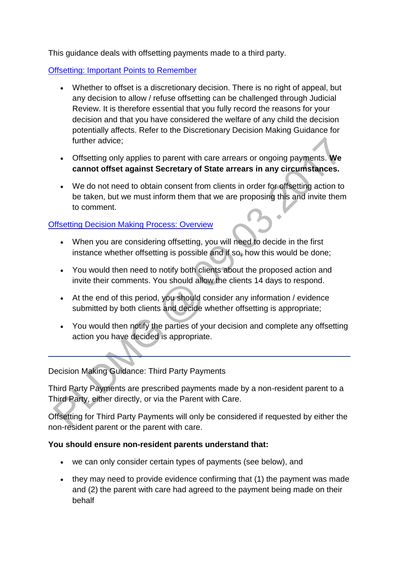This guidance deals with offsetting payments made to a third party.

[Offsetting: Important Points to Remember](http://np-cmg-sharepoint.link2.gpn.gov.uk/sites/policy-law-and-decision-making-guidance/Pages/Offsetting/Offsetting---Third-party-payments.aspx)

- Whether to offset is a discretionary decision. There is no right of appeal, but any decision to allow / refuse offsetting can be challenged through Judicial Review. It is therefore essential that you fully record the reasons for your decision and that you have considered the welfare of any child the decision potentially affects. Refer to the Discretionary Decision Making Guidance for further advice;
- Offsetting only applies to parent with care arrears or ongoing payments. **We cannot offset against Secretary of State arrears in any circumstances.**
- We do not need to obtain consent from clients in order for offsetting action to be taken, but we must inform them that we are proposing this and invite them to comment.

# [Offsetting Decision Making Process: Overview](http://np-cmg-sharepoint.link2.gpn.gov.uk/sites/policy-law-and-decision-making-guidance/Pages/Offsetting/Offsetting---Third-party-payments.aspx)

- When you are considering offsetting, you will need to decide in the first instance whether offsetting is possible and if so, how this would be done;
- You would then need to notify both clients about the proposed action and invite their comments. You should allow the clients 14 days to respond.
- At the end of this period, you should consider any information / evidence submitted by both clients and decide whether offsetting is appropriate;
- You would then notify the parties of your decision and complete any offsetting action you have decided is appropriate.

Decision Making Guidance: Third Party Payments

Third Party Payments are prescribed payments made by a non-resident parent to a Third Party, either directly, or via the Parent with Care.

Offsetting for Third Party Payments will only be considered if requested by either the non-resident parent or the parent with care.

# **You should ensure non-resident parents understand that:**

- we can only consider certain types of payments (see below), and
- they may need to provide evidence confirming that (1) the payment was made and (2) the parent with care had agreed to the payment being made on their behalf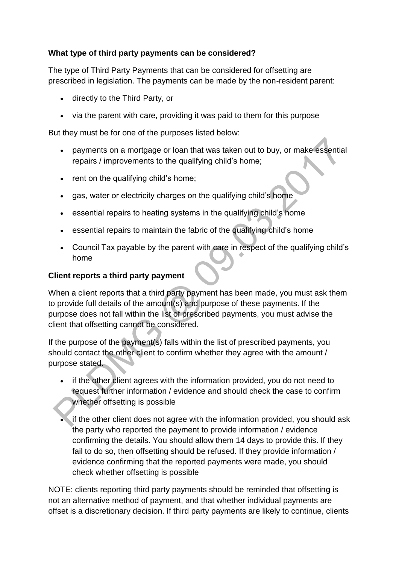## **What type of third party payments can be considered?**

The type of Third Party Payments that can be considered for offsetting are prescribed in legislation. The payments can be made by the non-resident parent:

- directly to the Third Party, or
- via the parent with care, providing it was paid to them for this purpose

But they must be for one of the purposes listed below:

- payments on a mortgage or loan that was taken out to buy, or make essential repairs / improvements to the qualifying child's home;
- rent on the qualifying child's home;
- gas, water or electricity charges on the qualifying child's home
- essential repairs to heating systems in the qualifying child's home
- essential repairs to maintain the fabric of the qualifying child's home
- Council Tax payable by the parent with care in respect of the qualifying child's home

#### **Client reports a third party payment**

When a client reports that a third party payment has been made, you must ask them to provide full details of the amount(s) and purpose of these payments. If the purpose does not fall within the list of prescribed payments, you must advise the client that offsetting cannot be considered.

If the purpose of the payment(s) falls within the list of prescribed payments, you should contact the other client to confirm whether they agree with the amount / purpose stated.

- if the other client agrees with the information provided, you do not need to request further information / evidence and should check the case to confirm whether offsetting is possible
- if the other client does not agree with the information provided, you should ask the party who reported the payment to provide information / evidence confirming the details. You should allow them 14 days to provide this. If they fail to do so, then offsetting should be refused. If they provide information / evidence confirming that the reported payments were made, you should check whether offsetting is possible

NOTE: clients reporting third party payments should be reminded that offsetting is not an alternative method of payment, and that whether individual payments are offset is a discretionary decision. If third party payments are likely to continue, clients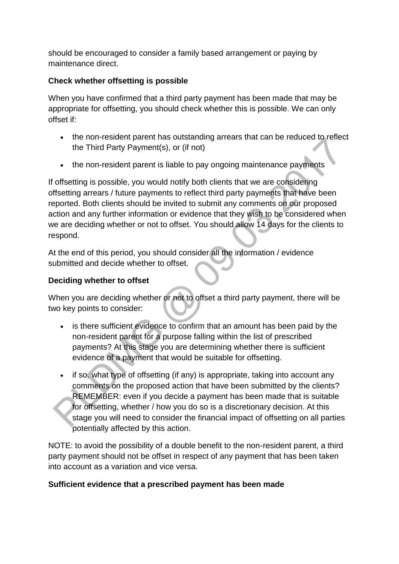should be encouraged to consider a family based arrangement or paying by maintenance direct.

## **Check whether offsetting is possible**

When you have confirmed that a third party payment has been made that may be appropriate for offsetting, you should check whether this is possible. We can only offset if:

- the non-resident parent has outstanding arrears that can be reduced to reflect the Third Party Payment(s), or (if not)
- the non-resident parent is liable to pay ongoing maintenance payments

If offsetting is possible, you would notify both clients that we are considering offsetting arrears / future payments to reflect third party payments that have been reported. Both clients should be invited to submit any comments on our proposed action and any further information or evidence that they wish to be considered when we are deciding whether or not to offset. You should allow 14 days for the clients to respond.

At the end of this period, you should consider all the information / evidence submitted and decide whether to offset.

# **Deciding whether to offset**

When you are deciding whether or not to offset a third party payment, there will be two key points to consider:

- is there sufficient evidence to confirm that an amount has been paid by the non-resident parent for a purpose falling within the list of prescribed payments? At this stage you are determining whether there is sufficient evidence of a payment that would be suitable for offsetting.
- if so, what type of offsetting (if any) is appropriate, taking into account any comments on the proposed action that have been submitted by the clients? REMEMBER: even if you decide a payment has been made that is suitable for offsetting, whether / how you do so is a discretionary decision. At this stage you will need to consider the financial impact of offsetting on all parties potentially affected by this action.

NOTE: to avoid the possibility of a double benefit to the non-resident parent, a third party payment should not be offset in respect of any payment that has been taken into account as a variation and vice versa.

# **Sufficient evidence that a prescribed payment has been made**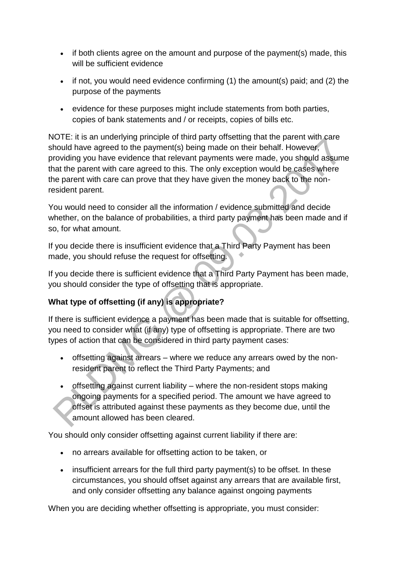- if both clients agree on the amount and purpose of the payment(s) made, this will be sufficient evidence
- $\bullet$  if not, you would need evidence confirming (1) the amount(s) paid; and (2) the purpose of the payments
- evidence for these purposes might include statements from both parties, copies of bank statements and / or receipts, copies of bills etc.

NOTE: it is an underlying principle of third party offsetting that the parent with care should have agreed to the payment(s) being made on their behalf. However, providing you have evidence that relevant payments were made, you should assume that the parent with care agreed to this. The only exception would be cases where the parent with care can prove that they have given the money back to the nonresident parent.

You would need to consider all the information / evidence submitted and decide whether, on the balance of probabilities, a third party payment has been made and if so, for what amount.

If you decide there is insufficient evidence that a Third Party Payment has been made, you should refuse the request for offsetting.

If you decide there is sufficient evidence that a Third Party Payment has been made, you should consider the type of offsetting that is appropriate.

# **What type of offsetting (if any) is appropriate?**

If there is sufficient evidence a payment has been made that is suitable for offsetting, you need to consider what (if any) type of offsetting is appropriate. There are two types of action that can be considered in third party payment cases:

- offsetting against arrears where we reduce any arrears owed by the nonresident parent to reflect the Third Party Payments; and
- offsetting against current liability where the non-resident stops making ongoing payments for a specified period. The amount we have agreed to offset is attributed against these payments as they become due, until the amount allowed has been cleared.

You should only consider offsetting against current liability if there are:

- no arrears available for offsetting action to be taken, or
- insufficient arrears for the full third party payment(s) to be offset. In these circumstances, you should offset against any arrears that are available first, and only consider offsetting any balance against ongoing payments

When you are deciding whether offsetting is appropriate, you must consider: